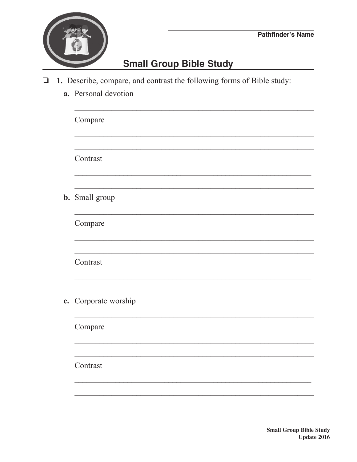## **Small Group Bible Study**

- 1. Describe, compare, and contrast the following forms of Bible study:
	- a. Personal devotion

|  | Compare               |  |  |
|--|-----------------------|--|--|
|  | Contrast              |  |  |
|  | <b>b.</b> Small group |  |  |
|  | Compare               |  |  |
|  | Contrast              |  |  |
|  | c. Corporate worship  |  |  |
|  | Compare               |  |  |
|  | Contrast              |  |  |
|  |                       |  |  |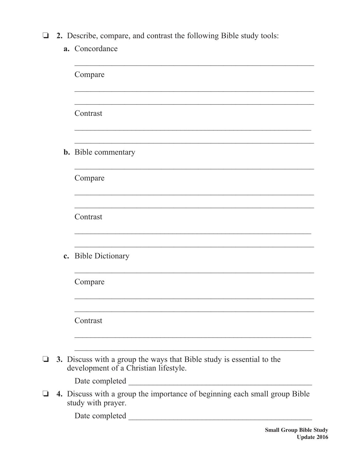- **1** 2. Describe, compare, and contrast the following Bible study tools:
	- a. Concordance

|  | Compare                                                                                                        |  |
|--|----------------------------------------------------------------------------------------------------------------|--|
|  | Contrast                                                                                                       |  |
|  | <b>b.</b> Bible commentary                                                                                     |  |
|  | Compare                                                                                                        |  |
|  | Contrast                                                                                                       |  |
|  | c. Bible Dictionary                                                                                            |  |
|  | Compare                                                                                                        |  |
|  | Contrast                                                                                                       |  |
|  | 3. Discuss with a group the ways that Bible study is essential to the<br>development of a Christian lifestyle. |  |
|  | Date completed                                                                                                 |  |
|  | 4. Discuss with a group the importance of beginning each small group Bible<br>study with prayer.               |  |
|  | Date completed __                                                                                              |  |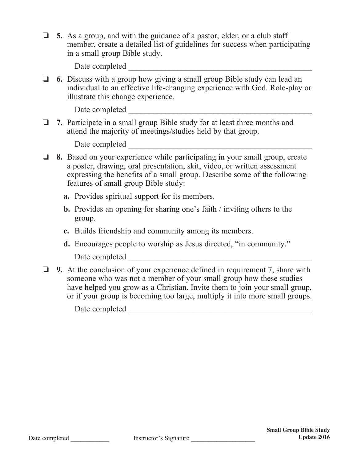$\Box$  5. As a group, and with the guidance of a pastor, elder, or a club staff member, create a detailed list of guidelines for success when participating in a small group Bible study.

Date completed

□ **6.** Discuss with a group how giving a small group Bible study can lead an individual to an effective life-changing experience with God. Role-play or illustrate this change experience.

Date completed \_\_\_\_\_\_\_\_\_\_\_\_\_\_\_\_\_\_\_\_\_\_\_\_\_\_\_\_\_\_\_\_\_\_\_\_\_\_\_\_\_\_\_\_\_

o **7.** Participate in a small group Bible study for at least three months and attend the majority of meetings/studies held by that group.

Date completed

- o **8.** Based on your experience while participating in your small group, create a poster, drawing, oral presentation, skit, video, or written assessment expressing the benefits of a small group. Describe some of the following features of small group Bible study:
	- **a.** Provides spiritual support for its members.
	- **b.** Provides an opening for sharing one's faith / inviting others to the group.
	- **c.** Builds friendship and community among its members.
	- **d.** Encourages people to worship as Jesus directed, "in community." Date completed \_\_\_\_\_\_\_\_\_\_\_\_\_\_\_\_\_\_\_\_\_\_\_\_\_\_\_\_\_\_\_\_\_\_\_\_\_\_\_\_\_\_\_\_\_
- **9.** At the conclusion of your experience defined in requirement 7, share with someone who was not a member of your small group how these studies have helped you grow as a Christian. Invite them to join your small group, or if your group is becoming too large, multiply it into more small groups.

Date completed \_\_\_\_\_\_\_\_\_\_\_\_\_\_\_\_\_\_\_\_\_\_\_\_\_\_\_\_\_\_\_\_\_\_\_\_\_\_\_\_\_\_\_\_\_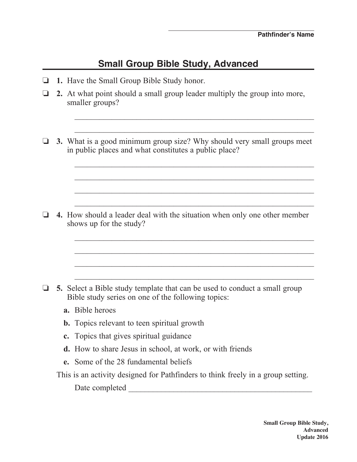## **Small Group Bible Study, Advanced**

- o **1.** Have the Small Group Bible Study honor.
- $\Box$  2. At what point should a small group leader multiply the group into more, smaller groups?
- **3.** What is a good minimum group size? Why should very small groups meet in public places and what constitutes a public place?

 $\frac{1}{2}$  ,  $\frac{1}{2}$  ,  $\frac{1}{2}$  ,  $\frac{1}{2}$  ,  $\frac{1}{2}$  ,  $\frac{1}{2}$  ,  $\frac{1}{2}$  ,  $\frac{1}{2}$  ,  $\frac{1}{2}$  ,  $\frac{1}{2}$  ,  $\frac{1}{2}$  ,  $\frac{1}{2}$  ,  $\frac{1}{2}$  ,  $\frac{1}{2}$  ,  $\frac{1}{2}$  ,  $\frac{1}{2}$  ,  $\frac{1}{2}$  ,  $\frac{1}{2}$  ,  $\frac{1$ 

 $\mathcal{L}_\text{max} = \frac{1}{2} \sum_{i=1}^n \frac{1}{2} \sum_{i=1}^n \frac{1}{2} \sum_{i=1}^n \frac{1}{2} \sum_{i=1}^n \frac{1}{2} \sum_{i=1}^n \frac{1}{2} \sum_{i=1}^n \frac{1}{2} \sum_{i=1}^n \frac{1}{2} \sum_{i=1}^n \frac{1}{2} \sum_{i=1}^n \frac{1}{2} \sum_{i=1}^n \frac{1}{2} \sum_{i=1}^n \frac{1}{2} \sum_{i=1}^n \frac{1}{2} \sum_{i=1}^n$ 

 $\mathcal{L}_\text{max} = \frac{1}{2} \sum_{i=1}^{n} \frac{1}{2} \sum_{i=1}^{n} \frac{1}{2} \sum_{i=1}^{n} \frac{1}{2} \sum_{i=1}^{n} \frac{1}{2} \sum_{i=1}^{n} \frac{1}{2} \sum_{i=1}^{n} \frac{1}{2} \sum_{i=1}^{n} \frac{1}{2} \sum_{i=1}^{n} \frac{1}{2} \sum_{i=1}^{n} \frac{1}{2} \sum_{i=1}^{n} \frac{1}{2} \sum_{i=1}^{n} \frac{1}{2} \sum_{i=1}^{n} \frac{1$ 

 $\mathcal{L}_\text{max} = \frac{1}{2} \sum_{i=1}^{n} \frac{1}{2} \sum_{i=1}^{n} \frac{1}{2} \sum_{i=1}^{n} \frac{1}{2} \sum_{i=1}^{n} \frac{1}{2} \sum_{i=1}^{n} \frac{1}{2} \sum_{i=1}^{n} \frac{1}{2} \sum_{i=1}^{n} \frac{1}{2} \sum_{i=1}^{n} \frac{1}{2} \sum_{i=1}^{n} \frac{1}{2} \sum_{i=1}^{n} \frac{1}{2} \sum_{i=1}^{n} \frac{1}{2} \sum_{i=1}^{n} \frac{1$ 

 $\mathcal{L}_\text{max} = \frac{1}{2} \sum_{i=1}^{n} \frac{1}{2} \sum_{i=1}^{n} \frac{1}{2} \sum_{i=1}^{n} \frac{1}{2} \sum_{i=1}^{n} \frac{1}{2} \sum_{i=1}^{n} \frac{1}{2} \sum_{i=1}^{n} \frac{1}{2} \sum_{i=1}^{n} \frac{1}{2} \sum_{i=1}^{n} \frac{1}{2} \sum_{i=1}^{n} \frac{1}{2} \sum_{i=1}^{n} \frac{1}{2} \sum_{i=1}^{n} \frac{1}{2} \sum_{i=1}^{n} \frac{1$ 

 $\mathcal{L}_\text{max} = \frac{1}{2} \sum_{i=1}^{n} \frac{1}{2} \sum_{i=1}^{n} \frac{1}{2} \sum_{i=1}^{n} \frac{1}{2} \sum_{i=1}^{n} \frac{1}{2} \sum_{i=1}^{n} \frac{1}{2} \sum_{i=1}^{n} \frac{1}{2} \sum_{i=1}^{n} \frac{1}{2} \sum_{i=1}^{n} \frac{1}{2} \sum_{i=1}^{n} \frac{1}{2} \sum_{i=1}^{n} \frac{1}{2} \sum_{i=1}^{n} \frac{1}{2} \sum_{i=1}^{n} \frac{1$ 

o **4.** How should a leader deal with the situation when only one other member shows up for the study?

 $\frac{1}{2}$  ,  $\frac{1}{2}$  ,  $\frac{1}{2}$  ,  $\frac{1}{2}$  ,  $\frac{1}{2}$  ,  $\frac{1}{2}$  ,  $\frac{1}{2}$  ,  $\frac{1}{2}$  ,  $\frac{1}{2}$  ,  $\frac{1}{2}$  ,  $\frac{1}{2}$  ,  $\frac{1}{2}$  ,  $\frac{1}{2}$  ,  $\frac{1}{2}$  ,  $\frac{1}{2}$  ,  $\frac{1}{2}$  ,  $\frac{1}{2}$  ,  $\frac{1}{2}$  ,  $\frac{1$ 

 $\mathcal{L}_\text{max} = \frac{1}{2} \sum_{i=1}^n \frac{1}{2} \sum_{i=1}^n \frac{1}{2} \sum_{i=1}^n \frac{1}{2} \sum_{i=1}^n \frac{1}{2} \sum_{i=1}^n \frac{1}{2} \sum_{i=1}^n \frac{1}{2} \sum_{i=1}^n \frac{1}{2} \sum_{i=1}^n \frac{1}{2} \sum_{i=1}^n \frac{1}{2} \sum_{i=1}^n \frac{1}{2} \sum_{i=1}^n \frac{1}{2} \sum_{i=1}^n \frac{1}{2} \sum_{i=1}^n$ 

 $\mathcal{L}_\text{max} = \frac{1}{2} \sum_{i=1}^{n} \frac{1}{2} \sum_{i=1}^{n} \frac{1}{2} \sum_{i=1}^{n} \frac{1}{2} \sum_{i=1}^{n} \frac{1}{2} \sum_{i=1}^{n} \frac{1}{2} \sum_{i=1}^{n} \frac{1}{2} \sum_{i=1}^{n} \frac{1}{2} \sum_{i=1}^{n} \frac{1}{2} \sum_{i=1}^{n} \frac{1}{2} \sum_{i=1}^{n} \frac{1}{2} \sum_{i=1}^{n} \frac{1}{2} \sum_{i=1}^{n} \frac{1$ 

 $\mathcal{L}_\text{max} = \frac{1}{2} \sum_{i=1}^{n} \frac{1}{2} \sum_{i=1}^{n} \frac{1}{2} \sum_{i=1}^{n} \frac{1}{2} \sum_{i=1}^{n} \frac{1}{2} \sum_{i=1}^{n} \frac{1}{2} \sum_{i=1}^{n} \frac{1}{2} \sum_{i=1}^{n} \frac{1}{2} \sum_{i=1}^{n} \frac{1}{2} \sum_{i=1}^{n} \frac{1}{2} \sum_{i=1}^{n} \frac{1}{2} \sum_{i=1}^{n} \frac{1}{2} \sum_{i=1}^{n} \frac{1$ 

- $\Box$  5. Select a Bible study template that can be used to conduct a small group Bible study series on one of the following topics:
	- **a.** Bible heroes
	- **b.** Topics relevant to teen spiritual growth
	- **c.** Topics that gives spiritual guidance
	- **d.** How to share Jesus in school, at work, or with friends
	- **e.** Some of the 28 fundamental beliefs

This is an activity designed for Pathfinders to think freely in a group setting.

Date completed  $\Box$ 

**Small Group Bible Study, Advanced Update 2016**